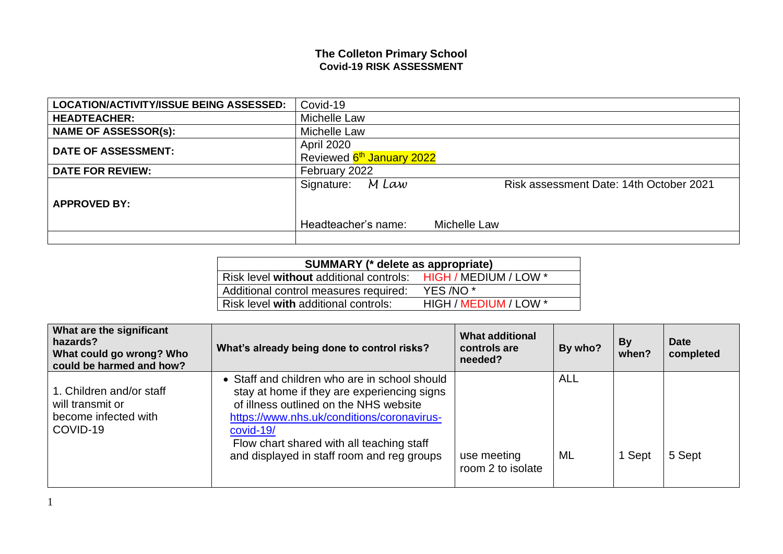## **The Colleton Primary School Covid-19 RISK ASSESSMENT**

| LOCATION/ACTIVITY/ISSUE BEING ASSESSED: | Covid-19                              |                                         |
|-----------------------------------------|---------------------------------------|-----------------------------------------|
| <b>HEADTEACHER:</b>                     | Michelle Law                          |                                         |
| <b>NAME OF ASSESSOR(s):</b>             | <b>Michelle Law</b>                   |                                         |
| <b>DATE OF ASSESSMENT:</b>              | <b>April 2020</b>                     |                                         |
|                                         | Reviewed 6 <sup>th</sup> January 2022 |                                         |
| <b>DATE FOR REVIEW:</b>                 | February 2022                         |                                         |
|                                         | M Law<br>Signature:                   | Risk assessment Date: 14th October 2021 |
| <b>APPROVED BY:</b>                     |                                       |                                         |
|                                         | Headteacher's name:                   | Michelle Law                            |
|                                         |                                       |                                         |

| SUMMARY (* delete as appropriate)       |                       |
|-----------------------------------------|-----------------------|
| Risk level without additional controls: | HIGH / MEDIUM / LOW * |
| Additional control measures required:   | YES /NO <sup>*</sup>  |
| Risk level with additional controls:    | HIGH / MEDIUM / LOW * |

| What are the significant<br>hazards?<br>What could go wrong? Who<br>could be harmed and how? | What's already being done to control risks?                                                                                                                                                                                                                                                  | <b>What additional</b><br>controls are<br>needed? | By who?          | <b>By</b><br>when? | <b>Date</b><br>completed |
|----------------------------------------------------------------------------------------------|----------------------------------------------------------------------------------------------------------------------------------------------------------------------------------------------------------------------------------------------------------------------------------------------|---------------------------------------------------|------------------|--------------------|--------------------------|
| 1. Children and/or staff<br>will transmit or<br>become infected with<br>COVID-19             | • Staff and children who are in school should<br>stay at home if they are experiencing signs<br>of illness outlined on the NHS website<br>https://www.nhs.uk/conditions/coronavirus-<br>covid-19/<br>Flow chart shared with all teaching staff<br>and displayed in staff room and reg groups | use meeting<br>room 2 to isolate                  | <b>ALL</b><br>ML | Sept               | 5 Sept                   |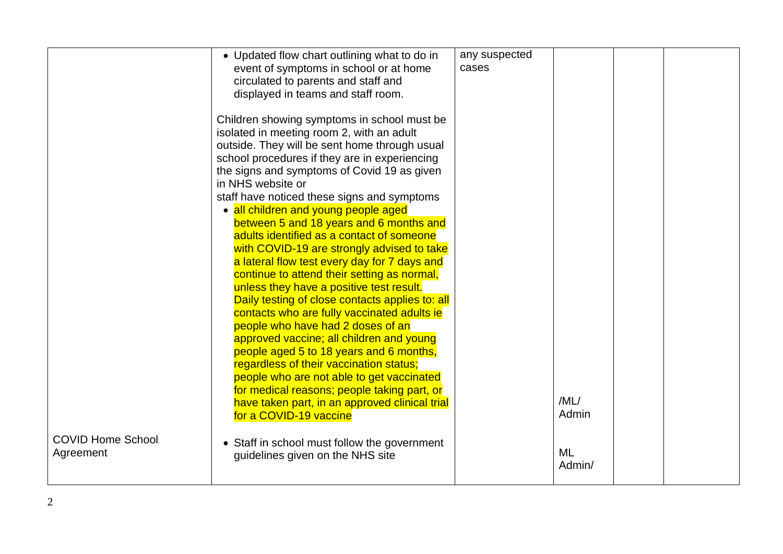|                                       | • Updated flow chart outlining what to do in<br>event of symptoms in school or at home<br>circulated to parents and staff and<br>displayed in teams and staff room.                                                                                                                                                                                                                                                 | any suspected<br>cases |                              |  |
|---------------------------------------|---------------------------------------------------------------------------------------------------------------------------------------------------------------------------------------------------------------------------------------------------------------------------------------------------------------------------------------------------------------------------------------------------------------------|------------------------|------------------------------|--|
|                                       | Children showing symptoms in school must be<br>isolated in meeting room 2, with an adult<br>outside. They will be sent home through usual<br>school procedures if they are in experiencing<br>the signs and symptoms of Covid 19 as given<br>in NHS website or<br>staff have noticed these signs and symptoms                                                                                                       |                        |                              |  |
|                                       | • all children and young people aged<br>between 5 and 18 years and 6 months and<br>adults identified as a contact of someone<br>with COVID-19 are strongly advised to take<br>a lateral flow test every day for 7 days and<br>continue to attend their setting as normal,<br>unless they have a positive test result.                                                                                               |                        |                              |  |
|                                       | Daily testing of close contacts applies to: all<br>contacts who are fully vaccinated adults ie<br>people who have had 2 doses of an<br>approved vaccine; all children and young<br>people aged 5 to 18 years and 6 months,<br>regardless of their vaccination status;<br>people who are not able to get vaccinated<br>for medical reasons; people taking part, or<br>have taken part, in an approved clinical trial |                        | /ML/                         |  |
| <b>COVID Home School</b><br>Agreement | for a COVID-19 vaccine<br>• Staff in school must follow the government<br>guidelines given on the NHS site                                                                                                                                                                                                                                                                                                          |                        | Admin<br><b>ML</b><br>Admin/ |  |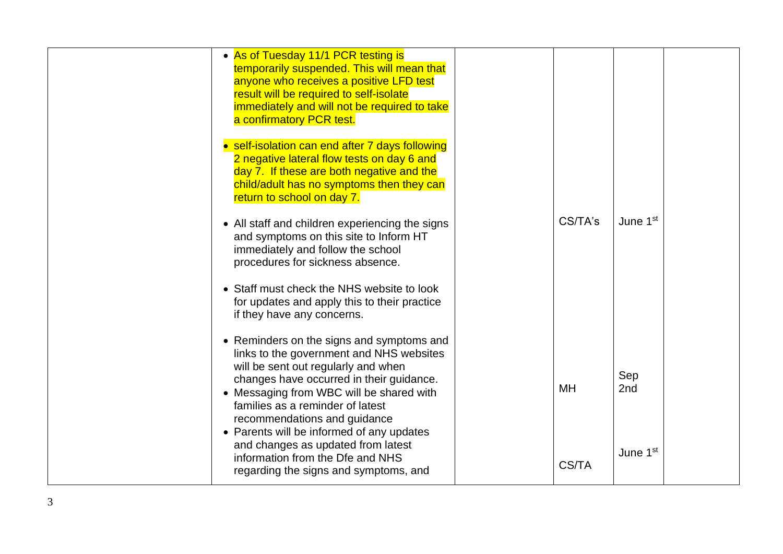| • As of Tuesday 11/1 PCR testing is<br>temporarily suspended. This will mean that<br>anyone who receives a positive LFD test<br>result will be required to self-isolate<br>immediately and will not be required to take<br>a confirmatory PCR test.                                                                                                                         |           |                      |  |
|-----------------------------------------------------------------------------------------------------------------------------------------------------------------------------------------------------------------------------------------------------------------------------------------------------------------------------------------------------------------------------|-----------|----------------------|--|
| • self-isolation can end after 7 days following<br>2 negative lateral flow tests on day 6 and<br>day 7. If these are both negative and the<br>child/adult has no symptoms then they can<br>return to school on day 7.                                                                                                                                                       |           |                      |  |
| • All staff and children experiencing the signs<br>and symptoms on this site to Inform HT<br>immediately and follow the school<br>procedures for sickness absence.                                                                                                                                                                                                          | CS/TA's   | June 1 <sup>st</sup> |  |
| • Staff must check the NHS website to look<br>for updates and apply this to their practice<br>if they have any concerns.                                                                                                                                                                                                                                                    |           |                      |  |
| • Reminders on the signs and symptoms and<br>links to the government and NHS websites<br>will be sent out regularly and when<br>changes have occurred in their guidance.<br>• Messaging from WBC will be shared with<br>families as a reminder of latest<br>recommendations and guidance<br>• Parents will be informed of any updates<br>and changes as updated from latest | <b>MH</b> | Sep<br>2nd           |  |
| information from the Dfe and NHS<br>regarding the signs and symptoms, and                                                                                                                                                                                                                                                                                                   | CS/TA     | June 1st             |  |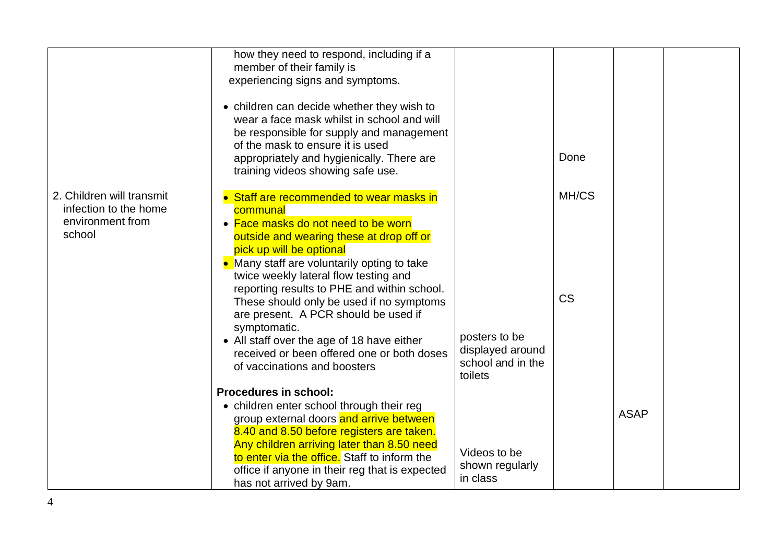|                                                                                  | how they need to respond, including if a<br>member of their family is<br>experiencing signs and symptoms.<br>• children can decide whether they wish to<br>wear a face mask whilst in school and will<br>be responsible for supply and management<br>of the mask to ensure it is used<br>appropriately and hygienically. There are<br>training videos showing safe use.                                                                                                                                                                    |                                                                   | Done               |             |  |
|----------------------------------------------------------------------------------|--------------------------------------------------------------------------------------------------------------------------------------------------------------------------------------------------------------------------------------------------------------------------------------------------------------------------------------------------------------------------------------------------------------------------------------------------------------------------------------------------------------------------------------------|-------------------------------------------------------------------|--------------------|-------------|--|
| 2. Children will transmit<br>infection to the home<br>environment from<br>school | • Staff are recommended to wear masks in<br>communal<br>• Face masks do not need to be worn<br>outside and wearing these at drop off or<br>pick up will be optional<br>• Many staff are voluntarily opting to take<br>twice weekly lateral flow testing and<br>reporting results to PHE and within school.<br>These should only be used if no symptoms<br>are present. A PCR should be used if<br>symptomatic.<br>• All staff over the age of 18 have either<br>received or been offered one or both doses<br>of vaccinations and boosters | posters to be<br>displayed around<br>school and in the<br>toilets | MH/CS<br><b>CS</b> |             |  |
|                                                                                  | <b>Procedures in school:</b>                                                                                                                                                                                                                                                                                                                                                                                                                                                                                                               |                                                                   |                    |             |  |
|                                                                                  | • children enter school through their reg<br>group external doors and arrive between<br>8.40 and 8.50 before registers are taken.<br>Any children arriving later than 8.50 need<br>to enter via the office. Staff to inform the<br>office if anyone in their reg that is expected<br>has not arrived by 9am.                                                                                                                                                                                                                               | Videos to be<br>shown regularly<br>in class                       |                    | <b>ASAP</b> |  |

4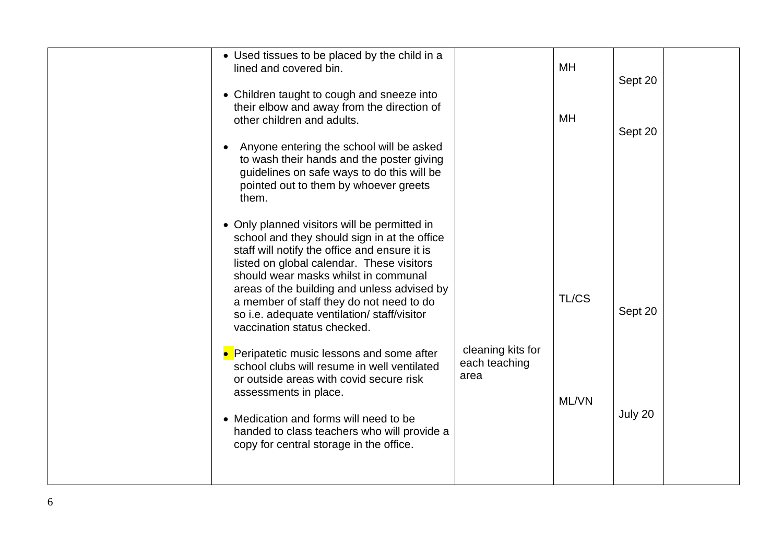| • Used tissues to be placed by the child in a<br>lined and covered bin.<br>• Children taught to cough and sneeze into<br>their elbow and away from the direction of<br>other children and adults.                                                                                                                                                                                                           |                                            | MH<br><b>MH</b> | Sept 20 |  |
|-------------------------------------------------------------------------------------------------------------------------------------------------------------------------------------------------------------------------------------------------------------------------------------------------------------------------------------------------------------------------------------------------------------|--------------------------------------------|-----------------|---------|--|
| Anyone entering the school will be asked<br>$\bullet$<br>to wash their hands and the poster giving<br>guidelines on safe ways to do this will be<br>pointed out to them by whoever greets<br>them.                                                                                                                                                                                                          |                                            |                 | Sept 20 |  |
| • Only planned visitors will be permitted in<br>school and they should sign in at the office<br>staff will notify the office and ensure it is<br>listed on global calendar. These visitors<br>should wear masks whilst in communal<br>areas of the building and unless advised by<br>a member of staff they do not need to do<br>so i.e. adequate ventilation/ staff/visitor<br>vaccination status checked. |                                            | TL/CS           | Sept 20 |  |
| • Peripatetic music lessons and some after<br>school clubs will resume in well ventilated<br>or outside areas with covid secure risk<br>assessments in place.                                                                                                                                                                                                                                               | cleaning kits for<br>each teaching<br>area | ML/VN           |         |  |
| • Medication and forms will need to be<br>handed to class teachers who will provide a<br>copy for central storage in the office.                                                                                                                                                                                                                                                                            |                                            |                 | July 20 |  |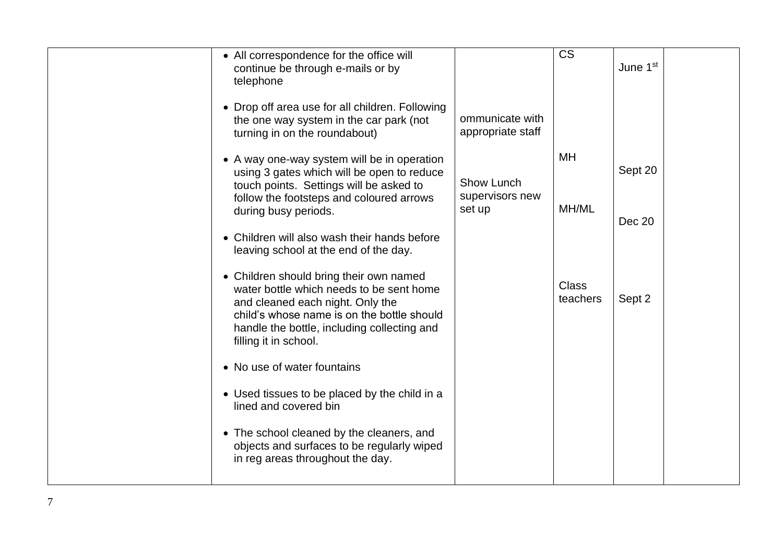| • All correspondence for the office will<br>continue be through e-mails or by<br>telephone                                                                                                         |                                      | <b>CS</b>                | June 1 <sup>st</sup> |
|----------------------------------------------------------------------------------------------------------------------------------------------------------------------------------------------------|--------------------------------------|--------------------------|----------------------|
| • Drop off area use for all children. Following<br>the one way system in the car park (not<br>turning in on the roundabout)                                                                        | ommunicate with<br>appropriate staff |                          |                      |
| • A way one-way system will be in operation<br>using 3 gates which will be open to reduce<br>touch points. Settings will be asked to<br>follow the footsteps and coloured arrows                   | Show Lunch<br>supervisors new        | <b>MH</b>                | Sept 20              |
| during busy periods.<br>• Children will also wash their hands before                                                                                                                               | set up                               | MH/ML                    | Dec 20               |
| leaving school at the end of the day.<br>• Children should bring their own named                                                                                                                   |                                      |                          |                      |
| water bottle which needs to be sent home<br>and cleaned each night. Only the<br>child's whose name is on the bottle should<br>handle the bottle, including collecting and<br>filling it in school. |                                      | <b>Class</b><br>teachers | Sept 2               |
| • No use of water fountains                                                                                                                                                                        |                                      |                          |                      |
| • Used tissues to be placed by the child in a<br>lined and covered bin                                                                                                                             |                                      |                          |                      |
| • The school cleaned by the cleaners, and<br>objects and surfaces to be regularly wiped<br>in reg areas throughout the day.                                                                        |                                      |                          |                      |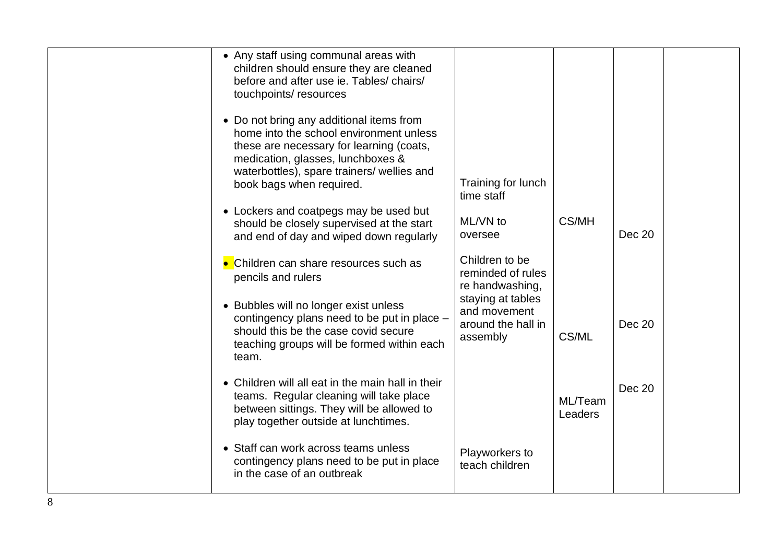| • Any staff using communal areas with<br>children should ensure they are cleaned<br>before and after use ie. Tables/ chairs/<br>touchpoints/resources                                                                                          |                                                                     |                    |               |  |
|------------------------------------------------------------------------------------------------------------------------------------------------------------------------------------------------------------------------------------------------|---------------------------------------------------------------------|--------------------|---------------|--|
| • Do not bring any additional items from<br>home into the school environment unless<br>these are necessary for learning (coats,<br>medication, glasses, lunchboxes &<br>waterbottles), spare trainers/ wellies and<br>book bags when required. | Training for lunch<br>time staff                                    |                    |               |  |
| • Lockers and coatpegs may be used but<br>should be closely supervised at the start<br>and end of day and wiped down regularly                                                                                                                 | ML/VN to<br>oversee                                                 | CS/MH              | Dec 20        |  |
| • Children can share resources such as<br>pencils and rulers                                                                                                                                                                                   | Children to be<br>reminded of rules<br>re handwashing,              |                    |               |  |
| • Bubbles will no longer exist unless<br>contingency plans need to be put in place -<br>should this be the case covid secure<br>teaching groups will be formed within each<br>team.                                                            | staying at tables<br>and movement<br>around the hall in<br>assembly | CS/ML              | Dec 20        |  |
| • Children will all eat in the main hall in their<br>teams. Regular cleaning will take place<br>between sittings. They will be allowed to<br>play together outside at lunchtimes.                                                              |                                                                     | ML/Team<br>Leaders | <b>Dec 20</b> |  |
| • Staff can work across teams unless<br>contingency plans need to be put in place<br>in the case of an outbreak                                                                                                                                | Playworkers to<br>teach children                                    |                    |               |  |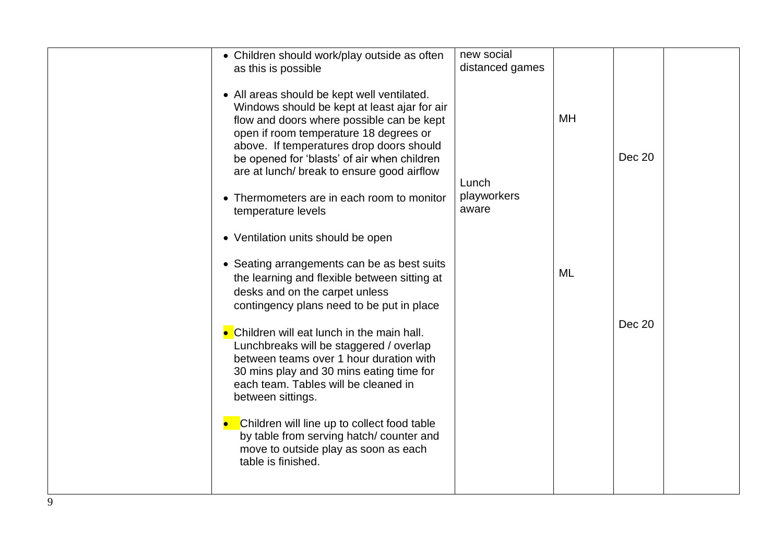| • Children should work/play outside as often                                                                                                                                                                                                                                                                                | new social                    |           |        |  |
|-----------------------------------------------------------------------------------------------------------------------------------------------------------------------------------------------------------------------------------------------------------------------------------------------------------------------------|-------------------------------|-----------|--------|--|
| as this is possible                                                                                                                                                                                                                                                                                                         | distanced games               |           |        |  |
| • All areas should be kept well ventilated.<br>Windows should be kept at least ajar for air<br>flow and doors where possible can be kept<br>open if room temperature 18 degrees or<br>above. If temperatures drop doors should<br>be opened for 'blasts' of air when children<br>are at lunch/ break to ensure good airflow |                               | <b>MH</b> | Dec 20 |  |
| • Thermometers are in each room to monitor<br>temperature levels                                                                                                                                                                                                                                                            | Lunch<br>playworkers<br>aware |           |        |  |
| • Ventilation units should be open                                                                                                                                                                                                                                                                                          |                               |           |        |  |
| • Seating arrangements can be as best suits<br>the learning and flexible between sitting at<br>desks and on the carpet unless<br>contingency plans need to be put in place                                                                                                                                                  |                               | ML        |        |  |
| • Children will eat lunch in the main hall.<br>Lunchbreaks will be staggered / overlap<br>between teams over 1 hour duration with<br>30 mins play and 30 mins eating time for<br>each team. Tables will be cleaned in<br>between sittings.                                                                                  |                               |           | Dec 20 |  |
| Children will line up to collect food table<br>by table from serving hatch/counter and<br>move to outside play as soon as each<br>table is finished.                                                                                                                                                                        |                               |           |        |  |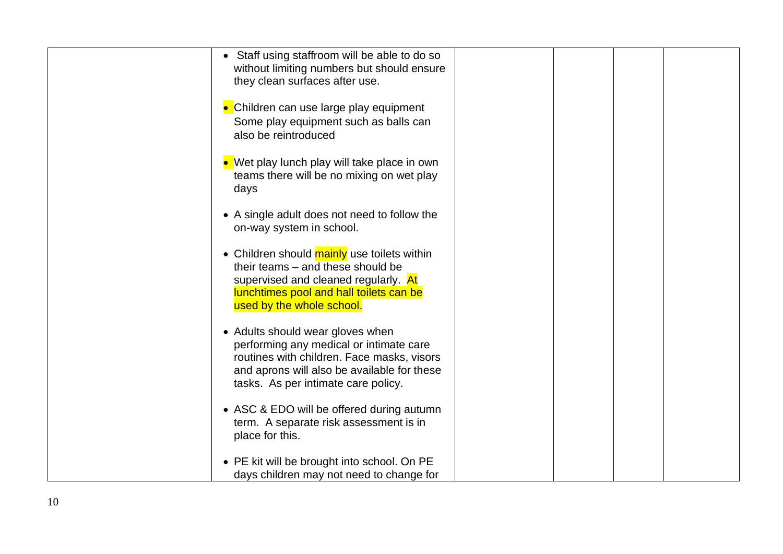| • Staff using staffroom will be able to do so<br>without limiting numbers but should ensure<br>they clean surfaces after use.                                                                                   |  |  |
|-----------------------------------------------------------------------------------------------------------------------------------------------------------------------------------------------------------------|--|--|
| • Children can use large play equipment<br>Some play equipment such as balls can<br>also be reintroduced                                                                                                        |  |  |
| • Wet play lunch play will take place in own<br>teams there will be no mixing on wet play<br>days                                                                                                               |  |  |
| • A single adult does not need to follow the<br>on-way system in school.                                                                                                                                        |  |  |
| • Children should mainly use toilets within<br>their teams – and these should be<br>supervised and cleaned regularly. At<br>lunchtimes pool and hall toilets can be<br>used by the whole school.                |  |  |
| • Adults should wear gloves when<br>performing any medical or intimate care<br>routines with children. Face masks, visors<br>and aprons will also be available for these<br>tasks. As per intimate care policy. |  |  |
| • ASC & EDO will be offered during autumn<br>term. A separate risk assessment is in<br>place for this.                                                                                                          |  |  |
| • PE kit will be brought into school. On PE<br>days children may not need to change for                                                                                                                         |  |  |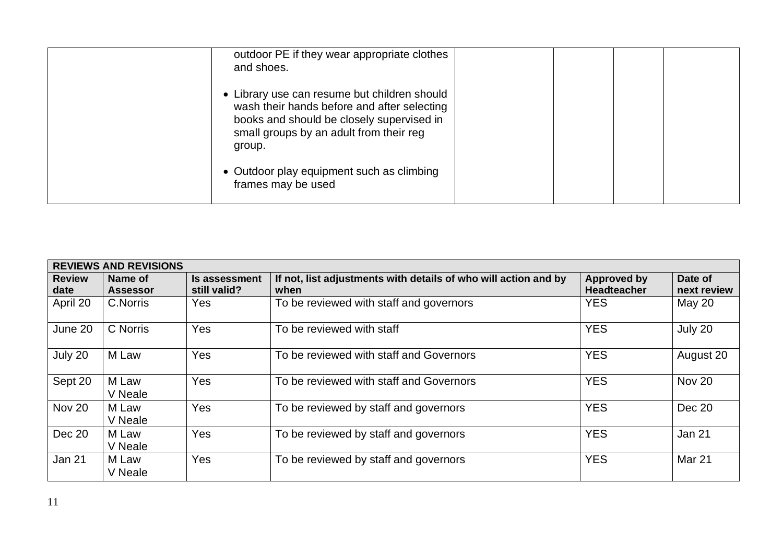| outdoor PE if they wear appropriate clothes<br>and shoes.                                                                                                                                     |  |  |
|-----------------------------------------------------------------------------------------------------------------------------------------------------------------------------------------------|--|--|
| • Library use can resume but children should<br>wash their hands before and after selecting<br>books and should be closely supervised in<br>small groups by an adult from their reg<br>group. |  |  |
| • Outdoor play equipment such as climbing<br>frames may be used                                                                                                                               |  |  |

| <b>REVIEWS AND REVISIONS</b> |                            |                               |                                                                         |                                          |                        |  |  |
|------------------------------|----------------------------|-------------------------------|-------------------------------------------------------------------------|------------------------------------------|------------------------|--|--|
| <b>Review</b><br>date        | Name of<br><b>Assessor</b> | Is assessment<br>still valid? | If not, list adjustments with details of who will action and by<br>when | <b>Approved by</b><br><b>Headteacher</b> | Date of<br>next review |  |  |
| April 20                     | C.Norris                   | Yes                           | To be reviewed with staff and governors                                 | <b>YES</b>                               | May 20                 |  |  |
| June 20                      | C Norris                   | Yes                           | To be reviewed with staff                                               | <b>YES</b>                               | July 20                |  |  |
| July 20                      | M Law                      | Yes                           | To be reviewed with staff and Governors                                 | <b>YES</b>                               | August 20              |  |  |
| Sept 20                      | M Law<br>V Neale           | Yes                           | To be reviewed with staff and Governors                                 | <b>YES</b>                               | Nov 20                 |  |  |
| <b>Nov 20</b>                | M Law<br>V Neale           | Yes                           | To be reviewed by staff and governors                                   | <b>YES</b>                               | Dec 20                 |  |  |
| Dec 20                       | M Law<br>V Neale           | Yes                           | To be reviewed by staff and governors                                   | <b>YES</b>                               | <b>Jan 21</b>          |  |  |
| <b>Jan 21</b>                | M Law<br>V Neale           | Yes                           | To be reviewed by staff and governors                                   | <b>YES</b>                               | Mar 21                 |  |  |